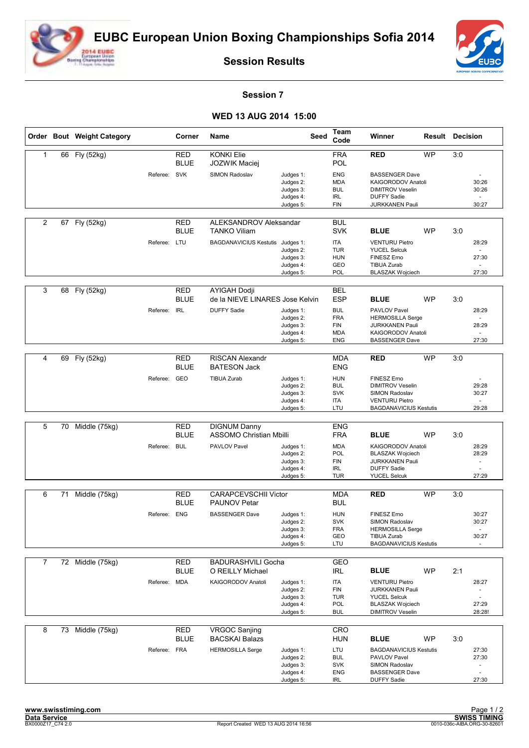



**Session Results**

## **Session 7**

## **WED 13 AUG 2014 15:00**

|                |    | Order Bout Weight Category |              | Corner                    | Name                                                   |                                                               | Seed | Team<br>Code                                                       | Winner                                                                                                                 | <b>Result Decision</b> |     |                         |
|----------------|----|----------------------------|--------------|---------------------------|--------------------------------------------------------|---------------------------------------------------------------|------|--------------------------------------------------------------------|------------------------------------------------------------------------------------------------------------------------|------------------------|-----|-------------------------|
| $\mathbf{1}$   | 66 | Fly (52kg)                 |              | <b>RED</b><br><b>BLUE</b> | <b>KONKI Elie</b><br>JOZWIK Maciej                     |                                                               |      | <b>FRA</b><br>POL                                                  | <b>RED</b>                                                                                                             | <b>WP</b>              | 3:0 |                         |
|                |    |                            | Referee: SVK |                           | SIMON Radoslav                                         | Judges 1:<br>Judges 2:<br>Judges 3:<br>Judges 4:<br>Judges 5: |      | <b>ENG</b><br><b>MDA</b><br><b>BUL</b><br><b>IRL</b><br><b>FIN</b> | <b>BASSENGER Dave</b><br>KAIGORODOV Anatoli<br><b>DIMITROV Veselin</b><br><b>DUFFY Sadie</b><br><b>JURKKANEN Pauli</b> |                        |     | 30:26<br>30:26<br>30:27 |
| $\overline{2}$ | 67 | Fly (52kg)                 |              | <b>RED</b><br><b>BLUE</b> | ALEKSANDROV Aleksandar<br><b>TANKO Viliam</b>          |                                                               |      | <b>BUL</b><br><b>SVK</b>                                           | <b>BLUE</b>                                                                                                            | <b>WP</b>              | 3:0 |                         |
|                |    |                            | Referee: LTU |                           | BAGDANAVICIUS Kestutis Judges 1:                       | Judges 2:                                                     |      | <b>ITA</b><br><b>TUR</b>                                           | <b>VENTURU Pietro</b><br><b>YUCEL Selcuk</b>                                                                           |                        |     | 28:29                   |
|                |    |                            |              |                           |                                                        | Judges 3:<br>Judges 4:<br>Judges 5:                           |      | <b>HUN</b><br>GEO<br>POL                                           | FINESZ Erno<br><b>TIBUA Zurab</b><br><b>BLASZAK Wojciech</b>                                                           |                        |     | 27:30<br>27:30          |
|                |    |                            |              |                           |                                                        |                                                               |      |                                                                    |                                                                                                                        |                        |     |                         |
| 3              | 68 | Fly (52kg)                 |              | <b>RED</b><br><b>BLUE</b> | <b>AYIGAH Dodji</b><br>de la NIEVE LINARES Jose Kelvin |                                                               |      | <b>BEL</b><br><b>ESP</b>                                           | <b>BLUE</b>                                                                                                            | <b>WP</b>              | 3:0 |                         |
|                |    |                            | Referee:     | <b>IRL</b>                | <b>DUFFY Sadie</b>                                     | Judges 1:<br>Judges 2:                                        |      | <b>BUL</b><br><b>FRA</b>                                           | PAVLOV Pavel<br><b>HERMOSILLA Serge</b>                                                                                |                        |     | 28:29                   |
|                |    |                            |              |                           |                                                        | Judges 3:<br>Judges 4:<br>Judges 5:                           |      | <b>FIN</b><br><b>MDA</b><br><b>ENG</b>                             | <b>JURKKANEN Pauli</b><br>KAIGORODOV Anatoli<br><b>BASSENGER Dave</b>                                                  |                        |     | 28:29<br>27:30          |
|                |    |                            |              |                           |                                                        |                                                               |      |                                                                    |                                                                                                                        |                        |     |                         |
| 4              | 69 | Fly (52kg)                 |              | RED<br><b>BLUE</b>        | <b>RISCAN Alexandr</b><br><b>BATESON Jack</b>          |                                                               |      | <b>MDA</b><br><b>ENG</b>                                           | <b>RED</b>                                                                                                             | <b>WP</b>              | 3:0 |                         |
|                |    |                            | Referee:     | GEO                       | <b>TIBUA Zurab</b>                                     | Judges 1:<br>Judges 2:                                        |      | <b>HUN</b><br><b>BUL</b>                                           | <b>FINESZ Erno</b><br><b>DIMITROV Veselin</b>                                                                          |                        |     | 29:28                   |
|                |    |                            |              |                           |                                                        | Judges 3:<br>Judges 4:                                        |      | <b>SVK</b><br>ITA                                                  | SIMON Radoslav<br><b>VENTURU Pietro</b>                                                                                |                        |     | 30:27                   |
|                |    |                            |              |                           |                                                        | Judges 5:                                                     |      | LTU                                                                | <b>BAGDANAVICIUS Kestutis</b>                                                                                          |                        |     | 29:28                   |
|                |    |                            |              |                           |                                                        |                                                               |      |                                                                    |                                                                                                                        |                        |     |                         |
| 5              | 70 | Middle (75kg)              |              | <b>RED</b><br><b>BLUE</b> | <b>DIGNUM Danny</b><br><b>ASSOMO Christian Mbilli</b>  |                                                               |      | <b>ENG</b><br><b>FRA</b>                                           | <b>BLUE</b>                                                                                                            | <b>WP</b>              | 3:0 |                         |
|                |    |                            | Referee: BUL |                           | PAVLOV Pavel                                           | Judges 1:<br>Judges 2:                                        |      | <b>MDA</b><br>POL                                                  | KAIGORODOV Anatoli<br><b>BLASZAK Wojciech</b>                                                                          |                        |     | 28:29<br>28:29          |
|                |    |                            |              |                           |                                                        | Judges 3:                                                     |      | <b>FIN</b>                                                         | <b>JURKKANEN Pauli</b>                                                                                                 |                        |     |                         |
|                |    |                            |              |                           |                                                        | Judges 4:<br>Judges 5:                                        |      | <b>IRL</b><br><b>TUR</b>                                           | <b>DUFFY Sadie</b><br><b>YUCEL Selcuk</b>                                                                              |                        |     | 27:29                   |
|                |    |                            |              |                           |                                                        |                                                               |      |                                                                    |                                                                                                                        |                        |     |                         |
| 6              | 71 | Middle (75kg)              |              | <b>RED</b><br><b>BLUE</b> | <b>CARAPCEVSCHII Victor</b><br><b>PAUNOV Petar</b>     |                                                               |      | <b>MDA</b><br><b>BUL</b>                                           | <b>RED</b>                                                                                                             | <b>WP</b>              | 3:0 |                         |
|                |    |                            | Referee:     | <b>ENG</b>                | <b>BASSENGER Dave</b>                                  | Judges 1:<br>Judges 2:                                        |      | <b>HUN</b><br><b>SVK</b>                                           | <b>FINESZ Erno</b><br>SIMON Radoslav                                                                                   |                        |     | 30:27<br>30:27          |
|                |    |                            |              |                           |                                                        | Judges 3:<br>Judges 4:<br>Judges 5:                           |      | FRA<br>GEO<br>LTU                                                  | <b>HERMOSILLA Serge</b><br>TIBUA Zurab<br><b>BAGDANAVICIUS Kestutis</b>                                                |                        |     | 30:27                   |
|                |    |                            |              |                           |                                                        |                                                               |      |                                                                    |                                                                                                                        |                        |     |                         |
| 7              |    | 72 Middle (75kg)           |              | <b>RED</b><br><b>BLUE</b> | <b>BADURASHVILI Gocha</b><br>O REILLY Michael          |                                                               |      | GEO<br><b>IRL</b>                                                  | <b>BLUE</b>                                                                                                            | <b>WP</b>              | 2:1 |                         |
|                |    |                            | Referee: MDA |                           | KAIGORODOV Anatoli                                     | Judges 1:                                                     |      | <b>ITA</b>                                                         | <b>VENTURU Pietro</b>                                                                                                  |                        |     | 28:27                   |
|                |    |                            |              |                           |                                                        | Judges 2:<br>Judges 3:                                        |      | FIN<br><b>TUR</b>                                                  | <b>JURKKANEN Pauli</b><br><b>YUCEL Selcuk</b>                                                                          |                        |     | ä,                      |
|                |    |                            |              |                           |                                                        | Judges 4:<br>Judges 5:                                        |      | POL<br><b>BUL</b>                                                  | <b>BLASZAK Wojciech</b><br><b>DIMITROV Veselin</b>                                                                     |                        |     | 27:29<br>28:28!         |
|                |    |                            |              |                           |                                                        |                                                               |      |                                                                    |                                                                                                                        |                        |     |                         |
| 8              | 73 | Middle (75kg)              |              | <b>RED</b><br><b>BLUE</b> | <b>VRGOC Sanjing</b><br><b>BACSKAI Balazs</b>          |                                                               |      | CRO<br><b>HUN</b>                                                  | <b>BLUE</b>                                                                                                            | WP                     | 3:0 |                         |
|                |    |                            | Referee: FRA |                           | <b>HERMOSILLA Serge</b>                                | Judges 1:<br>Judges 2:                                        |      | LTU<br><b>BUL</b>                                                  | <b>BAGDANAVICIUS Kestutis</b><br>PAVLOV Pavel                                                                          |                        |     | 27:30<br>27:30          |
|                |    |                            |              |                           |                                                        | Judges 3:                                                     |      | <b>SVK</b>                                                         | SIMON Radoslav                                                                                                         |                        |     | $\blacksquare$          |
|                |    |                            |              |                           |                                                        | Judges 4:<br>Judges 5:                                        |      | ENG<br><b>IRL</b>                                                  | <b>BASSENGER Dave</b><br><b>DUFFY Sadie</b>                                                                            |                        |     | $\sim$<br>27:30         |
|                |    |                            |              |                           |                                                        |                                                               |      |                                                                    |                                                                                                                        |                        |     |                         |